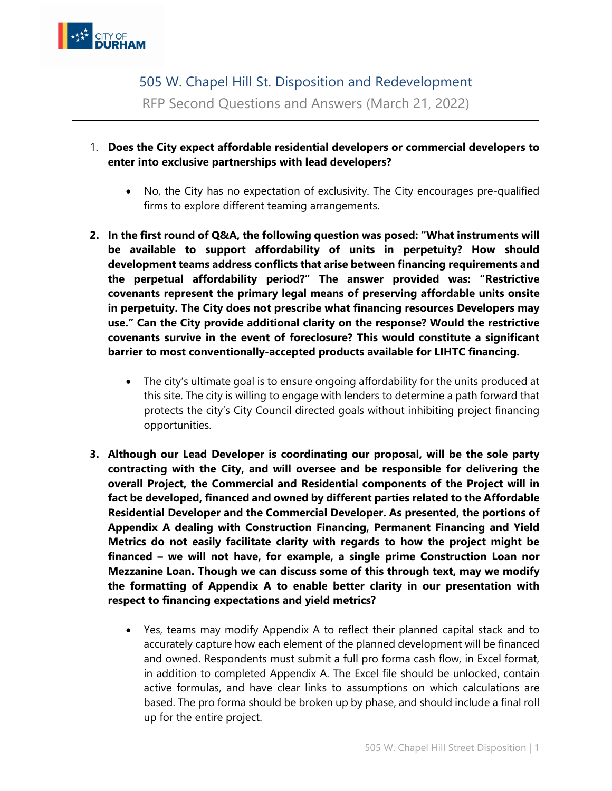

505 W. Chapel Hill St. Disposition and Redevelopment RFP Second Questions and Answers (March 21, 2022)

- 1. **Does the City expect affordable residential developers or commercial developers to enter into exclusive partnerships with lead developers?**
	- No, the City has no expectation of exclusivity. The City encourages pre-qualified firms to explore different teaming arrangements.
- **2. In the first round of Q&A, the following question was posed: "What instruments will be available to support affordability of units in perpetuity? How should development teams address conflicts that arise between financing requirements and the perpetual affordability period?" The answer provided was: "Restrictive covenants represent the primary legal means of preserving affordable units onsite in perpetuity. The City does not prescribe what financing resources Developers may use." Can the City provide additional clarity on the response? Would the restrictive covenants survive in the event of foreclosure? This would constitute a significant barrier to most conventionally-accepted products available for LIHTC financing.**
	- The city's ultimate goal is to ensure ongoing affordability for the units produced at this site. The city is willing to engage with lenders to determine a path forward that protects the city's City Council directed goals without inhibiting project financing opportunities.
- **3. Although our Lead Developer is coordinating our proposal, will be the sole party contracting with the City, and will oversee and be responsible for delivering the overall Project, the Commercial and Residential components of the Project will in fact be developed, financed and owned by different parties related to the Affordable Residential Developer and the Commercial Developer. As presented, the portions of Appendix A dealing with Construction Financing, Permanent Financing and Yield Metrics do not easily facilitate clarity with regards to how the project might be financed – we will not have, for example, a single prime Construction Loan nor Mezzanine Loan. Though we can discuss some of this through text, may we modify the formatting of Appendix A to enable better clarity in our presentation with respect to financing expectations and yield metrics?**
	- Yes, teams may modify Appendix A to reflect their planned capital stack and to accurately capture how each element of the planned development will be financed and owned. Respondents must submit a full pro forma cash flow, in Excel format, in addition to completed Appendix A. The Excel file should be unlocked, contain active formulas, and have clear links to assumptions on which calculations are based. The pro forma should be broken up by phase, and should include a final roll up for the entire project.